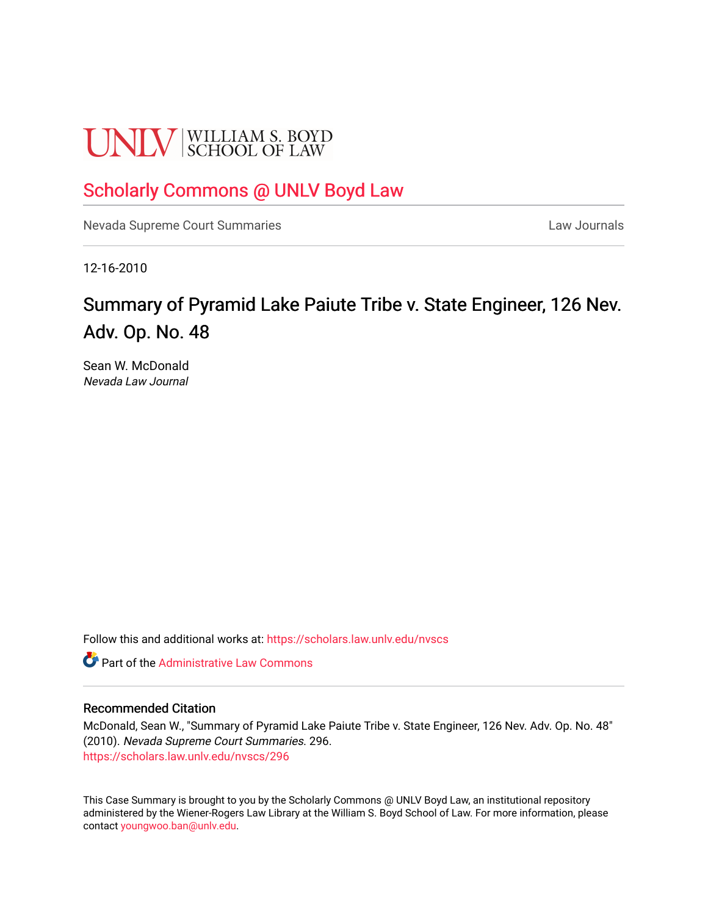# **UNLV** SCHOOL OF LAW

## [Scholarly Commons @ UNLV Boyd Law](https://scholars.law.unlv.edu/)

[Nevada Supreme Court Summaries](https://scholars.law.unlv.edu/nvscs) **Law Journals** Law Journals

12-16-2010

# Summary of Pyramid Lake Paiute Tribe v. State Engineer, 126 Nev. Adv. Op. No. 48

Sean W. McDonald Nevada Law Journal

Follow this and additional works at: [https://scholars.law.unlv.edu/nvscs](https://scholars.law.unlv.edu/nvscs?utm_source=scholars.law.unlv.edu%2Fnvscs%2F296&utm_medium=PDF&utm_campaign=PDFCoverPages)

**C** Part of the Administrative Law Commons

#### Recommended Citation

McDonald, Sean W., "Summary of Pyramid Lake Paiute Tribe v. State Engineer, 126 Nev. Adv. Op. No. 48" (2010). Nevada Supreme Court Summaries. 296. [https://scholars.law.unlv.edu/nvscs/296](https://scholars.law.unlv.edu/nvscs/296?utm_source=scholars.law.unlv.edu%2Fnvscs%2F296&utm_medium=PDF&utm_campaign=PDFCoverPages)

This Case Summary is brought to you by the Scholarly Commons @ UNLV Boyd Law, an institutional repository administered by the Wiener-Rogers Law Library at the William S. Boyd School of Law. For more information, please contact [youngwoo.ban@unlv.edu](mailto:youngwoo.ban@unlv.edu).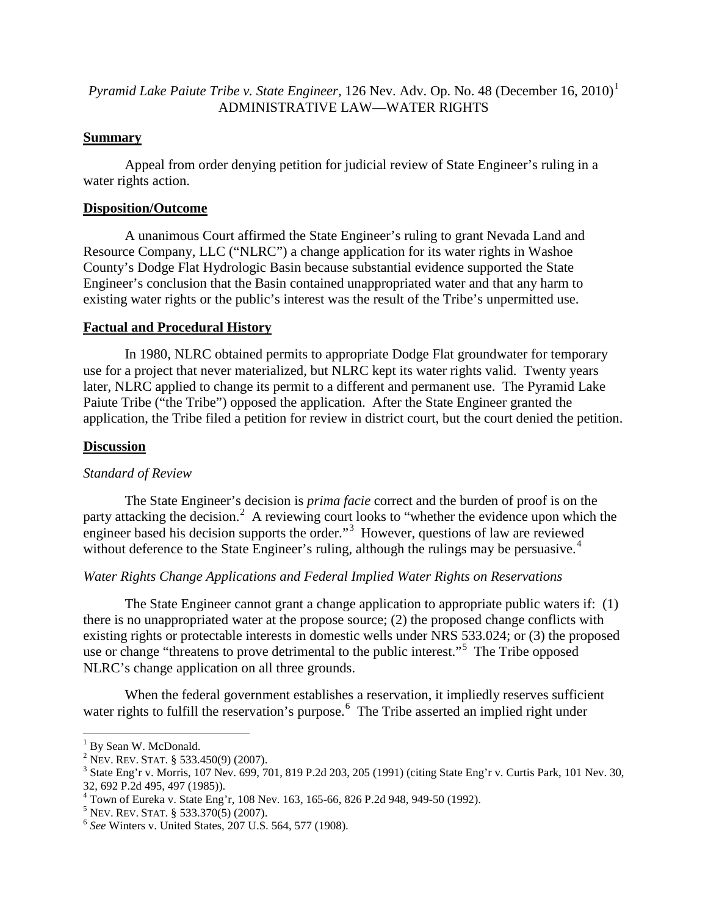### *Pyramid Lake Paiute Tribe v. State Engineer,* 126 Nev. Adv. Op. No. 48 (December 16, 2010) [1](#page-1-0) ADMINISTRATIVE LAW—WATER RIGHTS

#### **Summary**

Appeal from order denying petition for judicial review of State Engineer's ruling in a water rights action.

#### **Disposition/Outcome**

A unanimous Court affirmed the State Engineer's ruling to grant Nevada Land and Resource Company, LLC ("NLRC") a change application for its water rights in Washoe County's Dodge Flat Hydrologic Basin because substantial evidence supported the State Engineer's conclusion that the Basin contained unappropriated water and that any harm to existing water rights or the public's interest was the result of the Tribe's unpermitted use.

#### **Factual and Procedural History**

In 1980, NLRC obtained permits to appropriate Dodge Flat groundwater for temporary use for a project that never materialized, but NLRC kept its water rights valid. Twenty years later, NLRC applied to change its permit to a different and permanent use. The Pyramid Lake Paiute Tribe ("the Tribe") opposed the application. After the State Engineer granted the application, the Tribe filed a petition for review in district court, but the court denied the petition.

#### **Discussion**

#### *Standard of Review*

The State Engineer's decision is *prima facie* correct and the burden of proof is on the party attacking the decision.<sup>[2](#page-1-1)</sup> A reviewing court looks to "whether the evidence upon which the engineer based his decision supports the order."<sup>[3](#page-1-2)</sup> However, questions of law are reviewed without deference to the State Engineer's ruling, although the rulings may be persuasive.<sup>[4](#page-1-3)</sup>

## *Water Rights Change Applications and Federal Implied Water Rights on Reservations*

The State Engineer cannot grant a change application to appropriate public waters if: (1) there is no unappropriated water at the propose source; (2) the proposed change conflicts with existing rights or protectable interests in domestic wells under NRS 533.024; or (3) the proposed use or change "threatens to prove detrimental to the public interest."<sup>[5](#page-1-4)</sup> The Tribe opposed NLRC's change application on all three grounds.

When the federal government establishes a reservation, it impliedly reserves sufficient water rights to fulfill the reservation's purpose.<sup>[6](#page-1-5)</sup> The Tribe asserted an implied right under

<span id="page-1-0"></span><sup>&</sup>lt;sup>1</sup> By Sean W. McDonald.<br><sup>2</sup> NEV. REV. STAT. § 533.450(9) (2007).

<span id="page-1-2"></span><span id="page-1-1"></span><sup>&</sup>lt;sup>3</sup> State Eng'r v. Morris, 107 Nev. 699, 701, 819 P.2d 203, 205 (1991) (citing State Eng'r v. Curtis Park, 101 Nev. 30, 32, 692 P.2d 495, 497 (1985)).

<span id="page-1-3"></span><sup>&</sup>lt;sup>4</sup> Town of Eureka v. State Eng'r, 108 Nev. 163, 165-66, 826 P.2d 948, 949-50 (1992).<br><sup>5</sup> NEV. REV. STAT. § 533.370(5) (2007).<br><sup>6</sup> *See* Winters v. United States, 207 U.S. 564, 577 (1908).

<span id="page-1-4"></span>

<span id="page-1-5"></span>